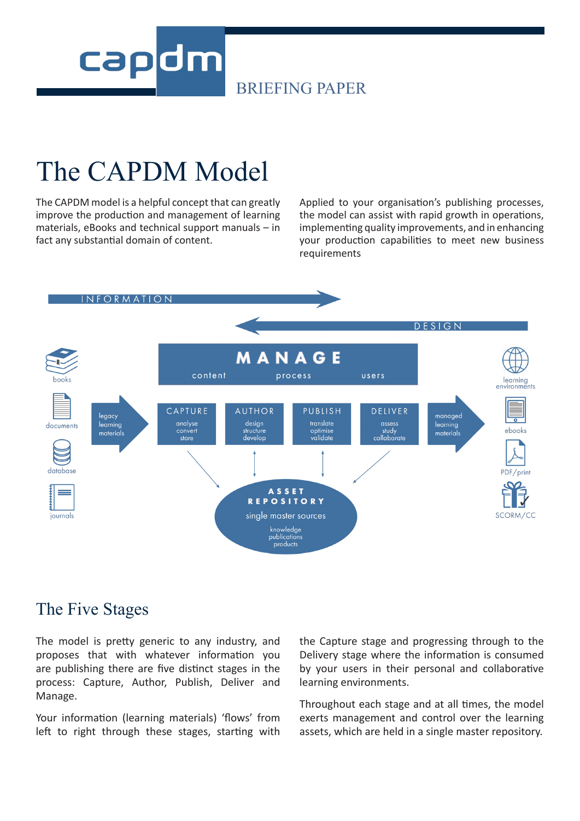

### The CAPDM Model

The CAPDM model is a helpful concept that can greatly improve the production and management of learning materials, eBooks and technical support manuals – in fact any substantial domain of content.

Applied to your organisation's publishing processes, the model can assist with rapid growth in operations, implementing quality improvements, and in enhancing your production capabilities to meet new business requirements



### The Five Stages

The model is pretty generic to any industry, and proposes that with whatever information you are publishing there are five distinct stages in the process: Capture, Author, Publish, Deliver and Manage.

Your information (learning materials) 'flows' from left to right through these stages, starting with the Capture stage and progressing through to the Delivery stage where the information is consumed by your users in their personal and collaborative learning environments.

Throughout each stage and at all times, the model exerts management and control over the learning assets, which are held in a single master repository.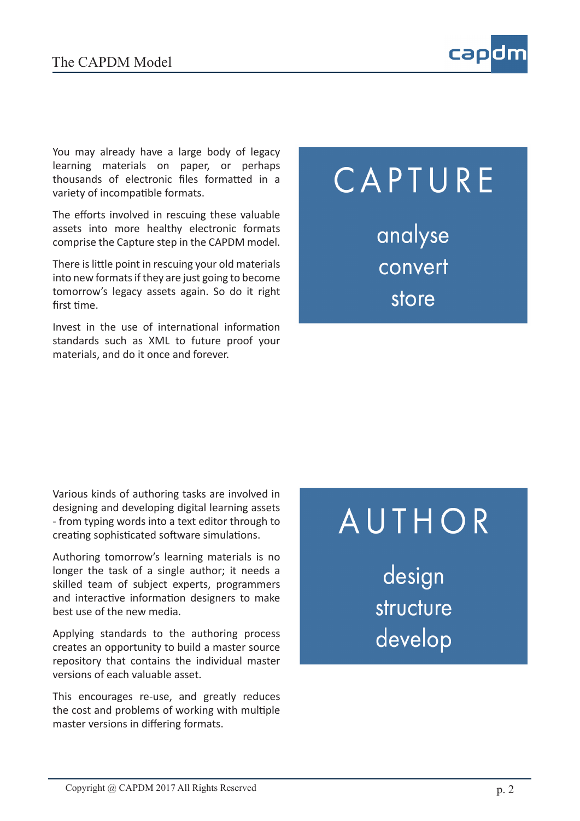

You may already have a large body of legacy learning materials on paper, or perhaps thousands of electronic files formatted in a variety of incompatible formats.

The efforts involved in rescuing these valuable assets into more healthy electronic formats comprise the Capture step in the CAPDM model.

There is little point in rescuing your old materials into new formats if they are just going to become tomorrow's legacy assets again. So do it right first time.

Invest in the use of international information standards such as XML to future proof your materials, and do it once and forever.

# CAPTURE analyse convert store

Various kinds of authoring tasks are involved in designing and developing digital learning assets - from typing words into a text editor through to creating sophisticated software simulations.

Authoring tomorrow's learning materials is no longer the task of a single author; it needs a skilled team of subject experts, programmers and interactive information designers to make best use of the new media.

Applying standards to the authoring process creates an opportunity to build a master source repository that contains the individual master versions of each valuable asset.

This encourages re-use, and greatly reduces the cost and problems of working with multiple master versions in differing formats.

# AUTHOR

design structure develop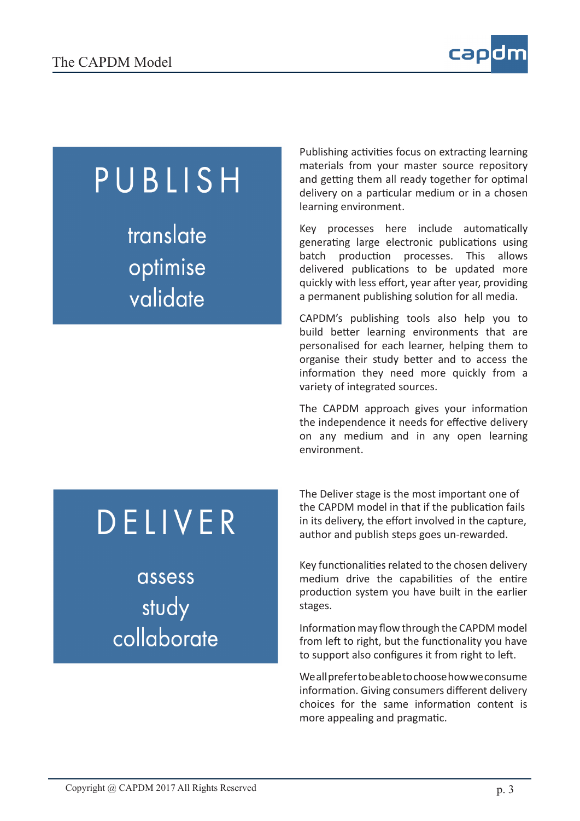

## PUBLISH

translate optimise validate

Publishing activities focus on extracting learning materials from your master source repository and getting them all ready together for optimal delivery on a particular medium or in a chosen learning environment.

Key processes here include automatically generating large electronic publications using batch production processes. This allows delivered publications to be updated more quickly with less effort, year after year, providing a permanent publishing solution for all media.

CAPDM's publishing tools also help you to build better learning environments that are personalised for each learner, helping them to organise their study better and to access the information they need more quickly from a variety of integrated sources.

The CAPDM approach gives your information the independence it needs for effective delivery on any medium and in any open learning environment.

# DELIVER

assess study collaborate The Deliver stage is the most important one of the CAPDM model in that if the publication fails in its delivery, the effort involved in the capture, author and publish steps goes un-rewarded.

Key functionalities related to the chosen delivery medium drive the capabilities of the entire production system you have built in the earlier stages.

Information may flow through the CAPDM model from left to right, but the functionality you have to support also configures it from right to left.

We all prefer to be able to choose how we consume information. Giving consumers different delivery choices for the same information content is more appealing and pragmatic.